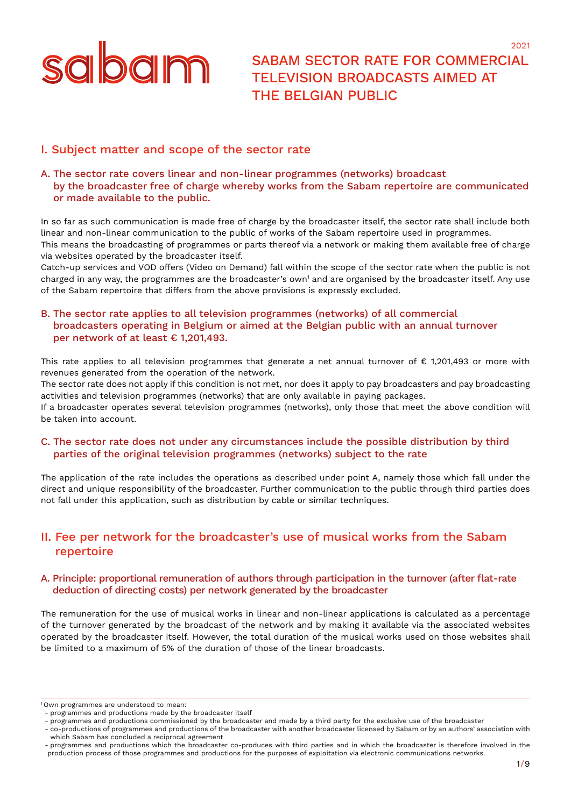

SABAM SECTOR RATE FOR COMMERCIAL TELEVISION BROADCASTS AIMED AT THE BELGIAN PUBLIC

2021

# I. Subject matter and scope of the sector rate

#### A. The sector rate covers linear and non-linear programmes (networks) broadcast by the broadcaster free of charge whereby works from the Sabam repertoire are communicated or made available to the public.

In so far as such communication is made free of charge by the broadcaster itself, the sector rate shall include both linear and non-linear communication to the public of works of the Sabam repertoire used in programmes. This means the broadcasting of programmes or parts thereof via a network or making them available free of charge via websites operated by the broadcaster itself.

Catch-up services and VOD offers (Video on Demand) fall within the scope of the sector rate when the public is not charged in any way, the programmes are the broadcaster's own<sup>1</sup> and are organised by the broadcaster itself. Any use of the Sabam repertoire that differs from the above provisions is expressly excluded.

# B. The sector rate applies to all television programmes (networks) of all commercial broadcasters operating in Belgium or aimed at the Belgian public with an annual turnover per network of at least € 1,201,493.

This rate applies to all television programmes that generate a net annual turnover of € 1,201,493 or more with revenues generated from the operation of the network.

The sector rate does not apply if this condition is not met, nor does it apply to pay broadcasters and pay broadcasting activities and television programmes (networks) that are only available in paying packages.

If a broadcaster operates several television programmes (networks), only those that meet the above condition will be taken into account.

#### C. The sector rate does not under any circumstances include the possible distribution by third parties of the original television programmes (networks) subject to the rate

The application of the rate includes the operations as described under point A, namely those which fall under the direct and unique responsibility of the broadcaster. Further communication to the public through third parties does not fall under this application, such as distribution by cable or similar techniques.

# II. Fee per network for the broadcaster's use of musical works from the Sabam repertoire

#### A. Principle: proportional remuneration of authors through participation in the turnover (after flat-rate deduction of directing costs) per network generated by the broadcaster

The remuneration for the use of musical works in linear and non-linear applications is calculated as a percentage of the turnover generated by the broadcast of the network and by making it available via the associated websites operated by the broadcaster itself. However, the total duration of the musical works used on those websites shall be limited to a maximum of 5% of the duration of those of the linear broadcasts.

1 Own programmes are understood to mean:

- co-productions of programmes and productions of the broadcaster with another broadcaster licensed by Sabam or by an authors' association with which Sabam has concluded a reciprocal agreement

<sup>-</sup> programmes and productions made by the broadcaster itself

<sup>-</sup> programmes and productions commissioned by the broadcaster and made by a third party for the exclusive use of the broadcaster

<sup>-</sup> programmes and productions which the broadcaster co-produces with third parties and in which the broadcaster is therefore involved in the production process of those programmes and productions for the purposes of exploitation via electronic communications networks.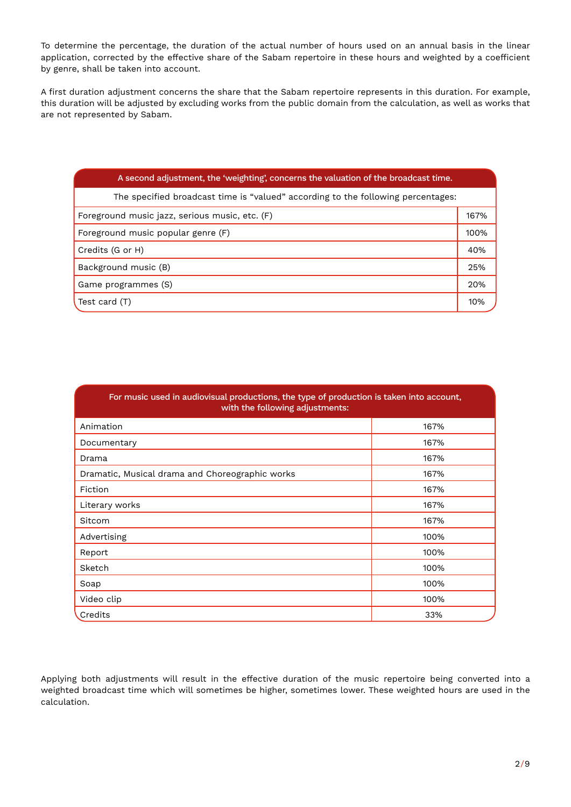To determine the percentage, the duration of the actual number of hours used on an annual basis in the linear application, corrected by the effective share of the Sabam repertoire in these hours and weighted by a coefficient by genre, shall be taken into account.

A first duration adjustment concerns the share that the Sabam repertoire represents in this duration. For example, this duration will be adjusted by excluding works from the public domain from the calculation, as well as works that are not represented by Sabam.

| A second adjustment, the 'weighting', concerns the valuation of the broadcast time. |      |  |  |  |  |
|-------------------------------------------------------------------------------------|------|--|--|--|--|
| The specified broadcast time is "valued" according to the following percentages:    |      |  |  |  |  |
| Foreground music jazz, serious music, etc. (F)                                      | 167% |  |  |  |  |
| Foreground music popular genre (F)                                                  |      |  |  |  |  |
| Credits (G or H)                                                                    | 40%  |  |  |  |  |
| Background music (B)                                                                | 25%  |  |  |  |  |
| Game programmes (S)                                                                 | 20%  |  |  |  |  |
| Test card (T)                                                                       | 10%  |  |  |  |  |

| For music used in audiovisual productions, the type of production is taken into account,<br>with the following adjustments: |      |  |  |  |  |
|-----------------------------------------------------------------------------------------------------------------------------|------|--|--|--|--|
| Animation                                                                                                                   | 167% |  |  |  |  |
| Documentary                                                                                                                 | 167% |  |  |  |  |
| Drama                                                                                                                       | 167% |  |  |  |  |
| Dramatic, Musical drama and Choreographic works                                                                             | 167% |  |  |  |  |
| Fiction                                                                                                                     | 167% |  |  |  |  |
| Literary works                                                                                                              | 167% |  |  |  |  |
| Sitcom                                                                                                                      | 167% |  |  |  |  |
| Advertising                                                                                                                 | 100% |  |  |  |  |
| Report                                                                                                                      | 100% |  |  |  |  |
| Sketch                                                                                                                      | 100% |  |  |  |  |
| Soap                                                                                                                        | 100% |  |  |  |  |
| Video clip                                                                                                                  | 100% |  |  |  |  |
| Credits                                                                                                                     | 33%  |  |  |  |  |

Applying both adjustments will result in the effective duration of the music repertoire being converted into a weighted broadcast time which will sometimes be higher, sometimes lower. These weighted hours are used in the calculation.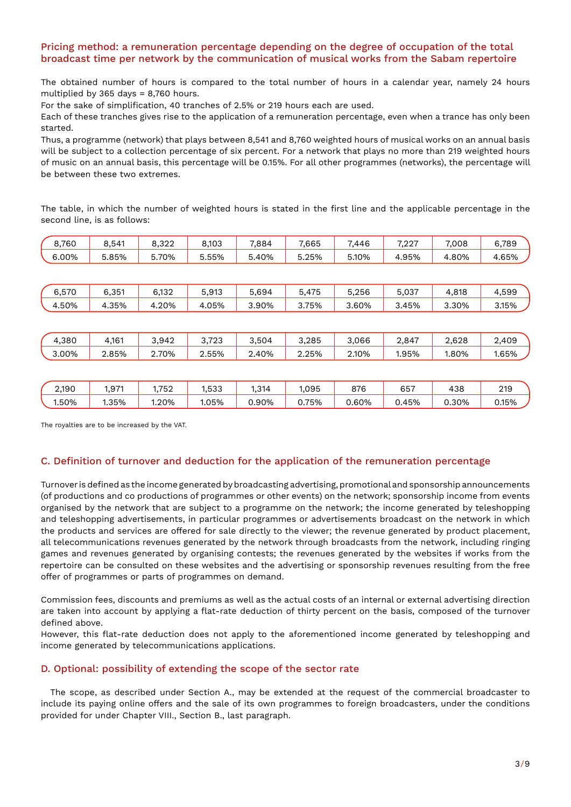# Pricing method: a remuneration percentage depending on the degree of occupation of the total broadcast time per network by the communication of musical works from the Sabam repertoire

The obtained number of hours is compared to the total number of hours in a calendar year, namely 24 hours multiplied by 365 days = 8,760 hours.

For the sake of simplification, 40 tranches of 2.5% or 219 hours each are used.

Each of these tranches gives rise to the application of a remuneration percentage, even when a trance has only been started.

Thus, a programme (network) that plays between 8,541 and 8,760 weighted hours of musical works on an annual basis will be subject to a collection percentage of six percent. For a network that plays no more than 219 weighted hours of music on an annual basis, this percentage will be 0.15%. For all other programmes (networks), the percentage will be between these two extremes.

The table, in which the number of weighted hours is stated in the first line and the applicable percentage in the second line, is as follows:

| 8,760 | 8,541 | 8,322 | 8,103 | 7,884 | 7,665 | 7,446 | 7,227 | 7,008 | 6,789 |
|-------|-------|-------|-------|-------|-------|-------|-------|-------|-------|
| 6.00% | 5.85% | 5.70% | 5.55% | 5.40% | 5.25% | 5.10% | 4.95% | 4.80% | 4.65% |
|       |       |       |       |       |       |       |       |       |       |
| 6,570 | 6,351 | 6,132 | 5,913 | 5,694 | 5,475 | 5,256 | 5,037 | 4,818 | 4,599 |
| 4.50% | 4.35% | 4.20% | 4.05% | 3.90% | 3.75% | 3.60% | 3.45% | 3.30% | 3.15% |
|       |       |       |       |       |       |       |       |       |       |
| 4.380 | 4,161 | 3.942 | 3,723 | 3.504 | 3,285 | 3,066 | 2,847 | 2,628 | 2,409 |
| 3.00% | 2.85% | 2.70% | 2.55% | 2.40% | 2.25% | 2.10% | 1.95% | 1.80% | 1.65% |
|       |       |       |       |       |       |       |       |       |       |
| 2,190 | 1,971 | 1,752 | 1,533 | 1,314 | 1,095 | 876   | 657   | 438   | 219   |
| 1.50% | 1.35% | 1.20% | 1.05% | 0.90% | 0.75% | 0.60% | 0.45% | 0.30% | 0.15% |

The royalties are to be increased by the VAT.

#### C. Definition of turnover and deduction for the application of the remuneration percentage

Turnover is defined as the income generated by broadcasting advertising, promotional and sponsorship announcements (of productions and co productions of programmes or other events) on the network; sponsorship income from events organised by the network that are subject to a programme on the network; the income generated by teleshopping and teleshopping advertisements, in particular programmes or advertisements broadcast on the network in which the products and services are offered for sale directly to the viewer; the revenue generated by product placement, all telecommunications revenues generated by the network through broadcasts from the network, including ringing games and revenues generated by organising contests; the revenues generated by the websites if works from the repertoire can be consulted on these websites and the advertising or sponsorship revenues resulting from the free offer of programmes or parts of programmes on demand.

Commission fees, discounts and premiums as well as the actual costs of an internal or external advertising direction are taken into account by applying a flat-rate deduction of thirty percent on the basis, composed of the turnover defined above.

However, this flat-rate deduction does not apply to the aforementioned income generated by teleshopping and income generated by telecommunications applications.

#### D. Optional: possibility of extending the scope of the sector rate

The scope, as described under Section A., may be extended at the request of the commercial broadcaster to include its paying online offers and the sale of its own programmes to foreign broadcasters, under the conditions provided for under Chapter VIII., Section B., last paragraph.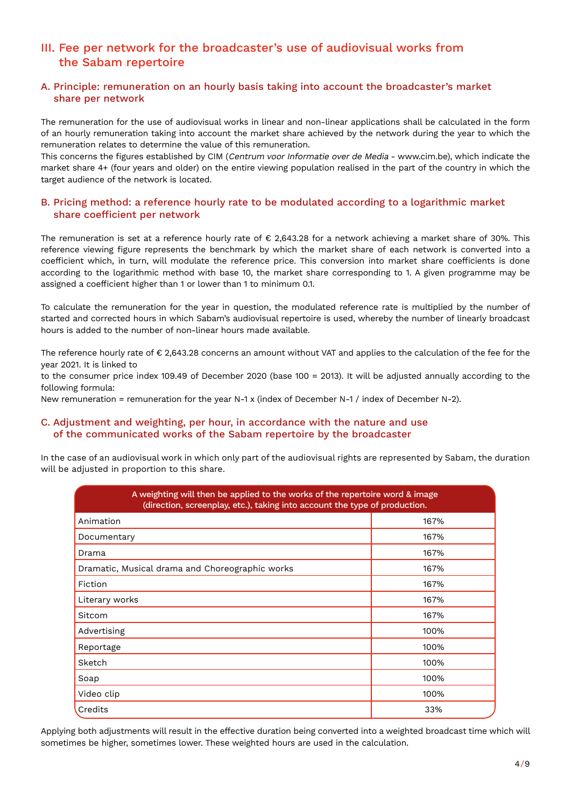# III. Fee per network for the broadcaster's use of audiovisual works from the Sabam repertoire

## A. Principle: remuneration on an hourly basis taking into account the broadcaster's market share per network

The remuneration for the use of audiovisual works in linear and non-linear applications shall be calculated in the form of an hourly remuneration taking into account the market share achieved by the network during the year to which the remuneration relates to determine the value of this remuneration.

This concerns the figures established by CIM (Centrum voor Informatie over de Media - www.cim.be), which indicate the market share 4+ (four years and older) on the entire viewing population realised in the part of the country in which the target audience of the network is located.

#### B. Pricing method: a reference hourly rate to be modulated according to a logarithmic market share coefficient per network

The remuneration is set at a reference hourly rate of € 2,643.28 for a network achieving a market share of 30%. This reference viewing figure represents the benchmark by which the market share of each network is converted into a coefficient which, in turn, will modulate the reference price. This conversion into market share coefficients is done according to the logarithmic method with base 10, the market share corresponding to 1. A given programme may be assigned a coefficient higher than 1 or lower than 1 to minimum 0.1.

To calculate the remuneration for the year in question, the modulated reference rate is multiplied by the number of started and corrected hours in which Sabam's audiovisual repertoire is used, whereby the number of linearly broadcast hours is added to the number of non-linear hours made available.

The reference hourly rate of € 2,643.28 concerns an amount without VAT and applies to the calculation of the fee for the year 2021. It is linked to

to the consumer price index 109.49 of December 2020 (base 100 = 2013). It will be adjusted annually according to the following formula:

New remuneration = remuneration for the year N-1 x (index of December N-1 / index of December N-2).

# C. Adjustment and weighting, per hour, in accordance with the nature and use of the communicated works of the Sabam repertoire by the broadcaster

In the case of an audiovisual work in which only part of the audiovisual rights are represented by Sabam, the duration will be adjusted in proportion to this share.

| A weighting will then be applied to the works of the repertoire word & image<br>(direction, screenplay, etc.), taking into account the type of production. |      |  |  |  |  |  |
|------------------------------------------------------------------------------------------------------------------------------------------------------------|------|--|--|--|--|--|
| Animation                                                                                                                                                  | 167% |  |  |  |  |  |
| Documentary                                                                                                                                                | 167% |  |  |  |  |  |
| Drama                                                                                                                                                      | 167% |  |  |  |  |  |
| Dramatic, Musical drama and Choreographic works                                                                                                            | 167% |  |  |  |  |  |
| Fiction                                                                                                                                                    | 167% |  |  |  |  |  |
| Literary works                                                                                                                                             | 167% |  |  |  |  |  |
| Sitcom                                                                                                                                                     | 167% |  |  |  |  |  |
| Advertising                                                                                                                                                | 100% |  |  |  |  |  |
| Reportage                                                                                                                                                  | 100% |  |  |  |  |  |
| Sketch                                                                                                                                                     | 100% |  |  |  |  |  |
| Soap                                                                                                                                                       | 100% |  |  |  |  |  |
| Video clip                                                                                                                                                 | 100% |  |  |  |  |  |
| Credits                                                                                                                                                    | 33%  |  |  |  |  |  |

Applying both adjustments will result in the effective duration being converted into a weighted broadcast time which will sometimes be higher, sometimes lower. These weighted hours are used in the calculation.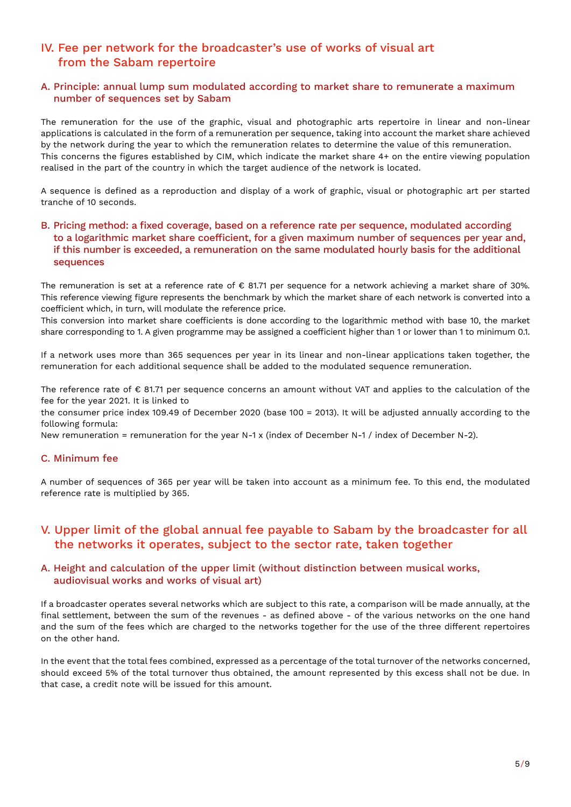# IV. Fee per network for the broadcaster's use of works of visual art from the Sabam repertoire

#### A. Principle: annual lump sum modulated according to market share to remunerate a maximum number of sequences set by Sabam

The remuneration for the use of the graphic, visual and photographic arts repertoire in linear and non-linear applications is calculated in the form of a remuneration per sequence, taking into account the market share achieved by the network during the year to which the remuneration relates to determine the value of this remuneration. This concerns the figures established by CIM, which indicate the market share 4+ on the entire viewing population realised in the part of the country in which the target audience of the network is located.

A sequence is defined as a reproduction and display of a work of graphic, visual or photographic art per started tranche of 10 seconds.

#### B. Pricing method: a fixed coverage, based on a reference rate per sequence, modulated according to a logarithmic market share coefficient, for a given maximum number of sequences per year and, if this number is exceeded, a remuneration on the same modulated hourly basis for the additional sequences

The remuneration is set at a reference rate of € 81.71 per sequence for a network achieving a market share of 30%. This reference viewing figure represents the benchmark by which the market share of each network is converted into a coefficient which, in turn, will modulate the reference price.

This conversion into market share coefficients is done according to the logarithmic method with base 10, the market share corresponding to 1. A given programme may be assigned a coefficient higher than 1 or lower than 1 to minimum 0.1.

If a network uses more than 365 sequences per year in its linear and non-linear applications taken together, the remuneration for each additional sequence shall be added to the modulated sequence remuneration.

The reference rate of € 81.71 per sequence concerns an amount without VAT and applies to the calculation of the fee for the year 2021. It is linked to

the consumer price index 109.49 of December 2020 (base 100 = 2013). It will be adjusted annually according to the following formula:

New remuneration = remuneration for the year N-1 x (index of December N-1 / index of December N-2).

#### C. Minimum fee

A number of sequences of 365 per year will be taken into account as a minimum fee. To this end, the modulated reference rate is multiplied by 365.

# V. Upper limit of the global annual fee payable to Sabam by the broadcaster for all the networks it operates, subject to the sector rate, taken together

#### A. Height and calculation of the upper limit (without distinction between musical works, audiovisual works and works of visual art)

If a broadcaster operates several networks which are subject to this rate, a comparison will be made annually, at the final settlement, between the sum of the revenues - as defined above - of the various networks on the one hand and the sum of the fees which are charged to the networks together for the use of the three different repertoires on the other hand.

In the event that the total fees combined, expressed as a percentage of the total turnover of the networks concerned, should exceed 5% of the total turnover thus obtained, the amount represented by this excess shall not be due. In that case, a credit note will be issued for this amount.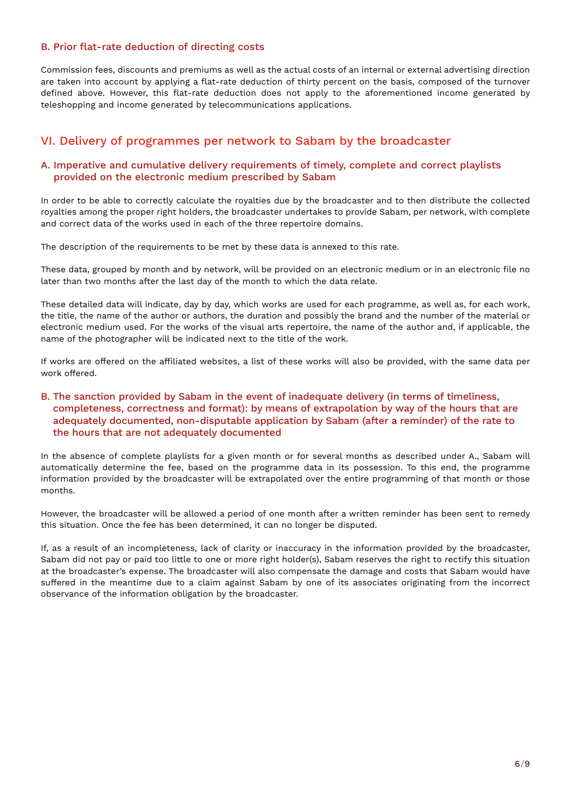#### B. Prior flat-rate deduction of directing costs

Commission fees, discounts and premiums as well as the actual costs of an internal or external advertising direction are taken into account by applying a flat-rate deduction of thirty percent on the basis, composed of the turnover defined above. However, this flat-rate deduction does not apply to the aforementioned income generated by teleshopping and income generated by telecommunications applications.

# VI. Delivery of programmes per network to Sabam by the broadcaster

#### A. Imperative and cumulative delivery requirements of timely, complete and correct playlists provided on the electronic medium prescribed by Sabam

In order to be able to correctly calculate the royalties due by the broadcaster and to then distribute the collected royalties among the proper right holders, the broadcaster undertakes to provide Sabam, per network, with complete and correct data of the works used in each of the three repertoire domains.

The description of the requirements to be met by these data is annexed to this rate.

These data, grouped by month and by network, will be provided on an electronic medium or in an electronic file no later than two months after the last day of the month to which the data relate.

These detailed data will indicate, day by day, which works are used for each programme, as well as, for each work, the title, the name of the author or authors, the duration and possibly the brand and the number of the material or electronic medium used. For the works of the visual arts repertoire, the name of the author and, if applicable, the name of the photographer will be indicated next to the title of the work.

If works are offered on the affiliated websites, a list of these works will also be provided, with the same data per work offered.

## B. The sanction provided by Sabam in the event of inadequate delivery (in terms of timeliness, completeness, correctness and format): by means of extrapolation by way of the hours that are adequately documented, non-disputable application by Sabam (after a reminder) of the rate to the hours that are not adequately documented

In the absence of complete playlists for a given month or for several months as described under A., Sabam will automatically determine the fee, based on the programme data in its possession. To this end, the programme information provided by the broadcaster will be extrapolated over the entire programming of that month or those months.

However, the broadcaster will be allowed a period of one month after a written reminder has been sent to remedy this situation. Once the fee has been determined, it can no longer be disputed.

If, as a result of an incompleteness, lack of clarity or inaccuracy in the information provided by the broadcaster, Sabam did not pay or paid too little to one or more right holder(s), Sabam reserves the right to rectify this situation at the broadcaster's expense. The broadcaster will also compensate the damage and costs that Sabam would have suffered in the meantime due to a claim against Sabam by one of its associates originating from the incorrect observance of the information obligation by the broadcaster.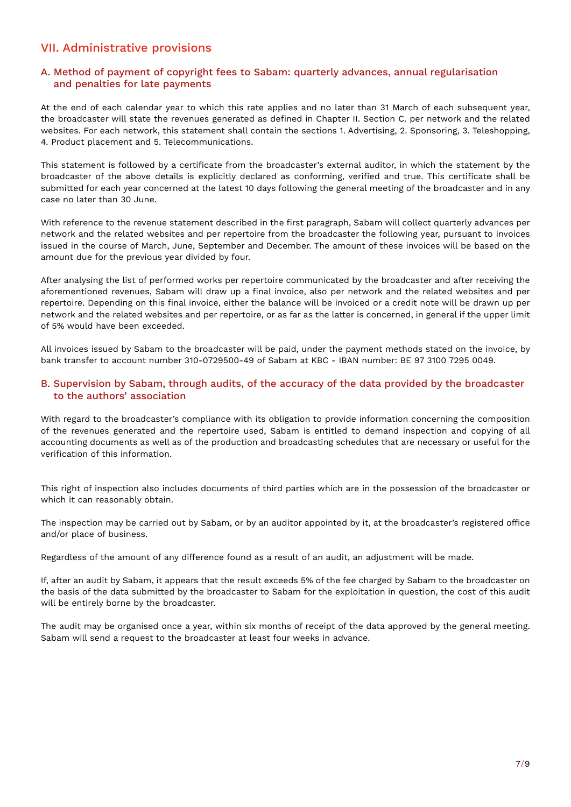# VII. Administrative provisions

## A. Method of payment of copyright fees to Sabam: quarterly advances, annual regularisation and penalties for late payments

At the end of each calendar year to which this rate applies and no later than 31 March of each subsequent year, the broadcaster will state the revenues generated as defined in Chapter II. Section C. per network and the related websites. For each network, this statement shall contain the sections 1. Advertising, 2. Sponsoring, 3. Teleshopping, 4. Product placement and 5. Telecommunications.

This statement is followed by a certificate from the broadcaster's external auditor, in which the statement by the broadcaster of the above details is explicitly declared as conforming, verified and true. This certificate shall be submitted for each year concerned at the latest 10 days following the general meeting of the broadcaster and in any case no later than 30 June.

With reference to the revenue statement described in the first paragraph, Sabam will collect quarterly advances per network and the related websites and per repertoire from the broadcaster the following year, pursuant to invoices issued in the course of March, June, September and December. The amount of these invoices will be based on the amount due for the previous year divided by four.

After analysing the list of performed works per repertoire communicated by the broadcaster and after receiving the aforementioned revenues, Sabam will draw up a final invoice, also per network and the related websites and per repertoire. Depending on this final invoice, either the balance will be invoiced or a credit note will be drawn up per network and the related websites and per repertoire, or as far as the latter is concerned, in general if the upper limit of 5% would have been exceeded.

All invoices issued by Sabam to the broadcaster will be paid, under the payment methods stated on the invoice, by bank transfer to account number 310-0729500-49 of Sabam at KBC - IBAN number: BE 97 3100 7295 0049.

#### B. Supervision by Sabam, through audits, of the accuracy of the data provided by the broadcaster to the authors' association

With regard to the broadcaster's compliance with its obligation to provide information concerning the composition of the revenues generated and the repertoire used, Sabam is entitled to demand inspection and copying of all accounting documents as well as of the production and broadcasting schedules that are necessary or useful for the verification of this information.

This right of inspection also includes documents of third parties which are in the possession of the broadcaster or which it can reasonably obtain.

The inspection may be carried out by Sabam, or by an auditor appointed by it, at the broadcaster's registered office and/or place of business.

Regardless of the amount of any difference found as a result of an audit, an adjustment will be made.

If, after an audit by Sabam, it appears that the result exceeds 5% of the fee charged by Sabam to the broadcaster on the basis of the data submitted by the broadcaster to Sabam for the exploitation in question, the cost of this audit will be entirely borne by the broadcaster.

The audit may be organised once a year, within six months of receipt of the data approved by the general meeting. Sabam will send a request to the broadcaster at least four weeks in advance.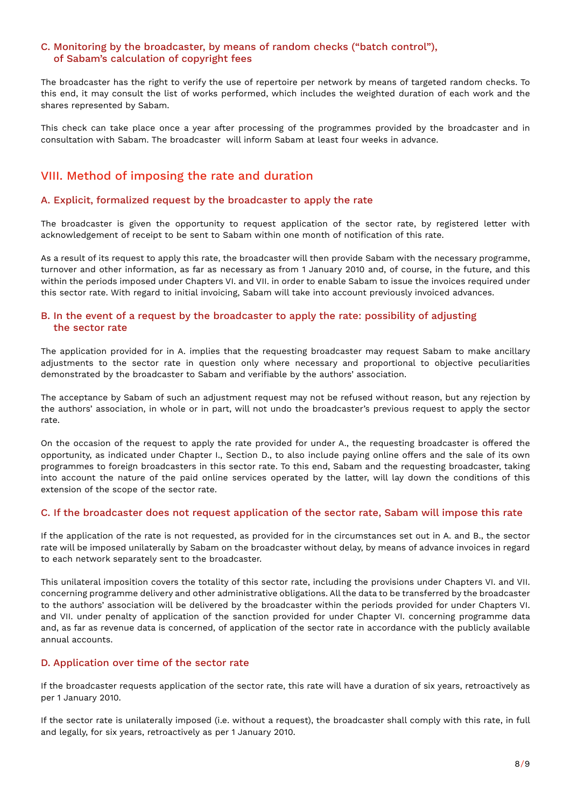# C. Monitoring by the broadcaster, by means of random checks ("batch control"), of Sabam's calculation of copyright fees

The broadcaster has the right to verify the use of repertoire per network by means of targeted random checks. To this end, it may consult the list of works performed, which includes the weighted duration of each work and the shares represented by Sabam.

This check can take place once a year after processing of the programmes provided by the broadcaster and in consultation with Sabam. The broadcaster will inform Sabam at least four weeks in advance.

# VIII. Method of imposing the rate and duration

## A. Explicit, formalized request by the broadcaster to apply the rate

The broadcaster is given the opportunity to request application of the sector rate, by registered letter with acknowledgement of receipt to be sent to Sabam within one month of notification of this rate.

As a result of its request to apply this rate, the broadcaster will then provide Sabam with the necessary programme, turnover and other information, as far as necessary as from 1 January 2010 and, of course, in the future, and this within the periods imposed under Chapters VI. and VII. in order to enable Sabam to issue the invoices required under this sector rate. With regard to initial invoicing, Sabam will take into account previously invoiced advances.

## B. In the event of a request by the broadcaster to apply the rate: possibility of adjusting the sector rate

The application provided for in A. implies that the requesting broadcaster may request Sabam to make ancillary adjustments to the sector rate in question only where necessary and proportional to objective peculiarities demonstrated by the broadcaster to Sabam and verifiable by the authors' association.

The acceptance by Sabam of such an adjustment request may not be refused without reason, but any rejection by the authors' association, in whole or in part, will not undo the broadcaster's previous request to apply the sector rate.

On the occasion of the request to apply the rate provided for under A., the requesting broadcaster is offered the opportunity, as indicated under Chapter I., Section D., to also include paying online offers and the sale of its own programmes to foreign broadcasters in this sector rate. To this end, Sabam and the requesting broadcaster, taking into account the nature of the paid online services operated by the latter, will lay down the conditions of this extension of the scope of the sector rate.

#### C. If the broadcaster does not request application of the sector rate, Sabam will impose this rate

If the application of the rate is not requested, as provided for in the circumstances set out in A. and B., the sector rate will be imposed unilaterally by Sabam on the broadcaster without delay, by means of advance invoices in regard to each network separately sent to the broadcaster.

This unilateral imposition covers the totality of this sector rate, including the provisions under Chapters VI. and VII. concerning programme delivery and other administrative obligations. All the data to be transferred by the broadcaster to the authors' association will be delivered by the broadcaster within the periods provided for under Chapters VI. and VII. under penalty of application of the sanction provided for under Chapter VI. concerning programme data and, as far as revenue data is concerned, of application of the sector rate in accordance with the publicly available annual accounts.

#### D. Application over time of the sector rate

If the broadcaster requests application of the sector rate, this rate will have a duration of six years, retroactively as per 1 January 2010.

If the sector rate is unilaterally imposed (i.e. without a request), the broadcaster shall comply with this rate, in full and legally, for six years, retroactively as per 1 January 2010.